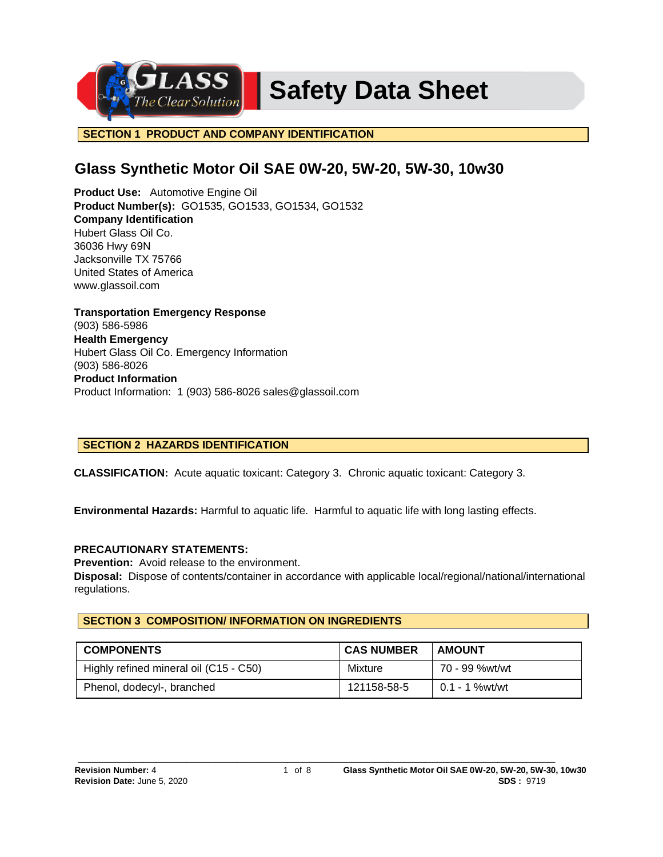

# **SECTION 1 PRODUCT AND COMPANY IDENTIFICATION**

# **Glass Synthetic Motor Oil SAE 0W-20, 5W-20, 5W-30, 10w30**

**Product Use:** Automotive Engine Oil **Product Number(s):** GO1535, GO1533, GO1534, GO1532 **Company Identification** Hubert Glass Oil Co. 36036 Hwy 69N Jacksonville TX 75766 United States of America www.glassoil.com

**Transportation Emergency Response** (903) 586-5986 **Health Emergency** Hubert Glass Oil Co. Emergency Information (903) 586-8026 **Product Information**  Product Information: 1 (903) 586-8026 sales@glassoil.com

# **SECTION 2 HAZARDS IDENTIFICATION**

**CLASSIFICATION:** Acute aquatic toxicant: Category 3. Chronic aquatic toxicant: Category 3.

**Environmental Hazards:** Harmful to aquatic life. Harmful to aquatic life with long lasting effects.

# **PRECAUTIONARY STATEMENTS:**

**Prevention:** Avoid release to the environment.

**Disposal:** Dispose of contents/container in accordance with applicable local/regional/national/international regulations.

# **SECTION 3 COMPOSITION/ INFORMATION ON INGREDIENTS**

| <b>COMPONENTS</b>                      | <b>CAS NUMBER</b> | <b>AMOUNT</b>  |
|----------------------------------------|-------------------|----------------|
| Highly refined mineral oil (C15 - C50) | Mixture           | 70 - 99 %wt/wt |
| Phenol, dodecyl-, branched             | 121158-58-5       | 0.1 - 1 %wt/wt |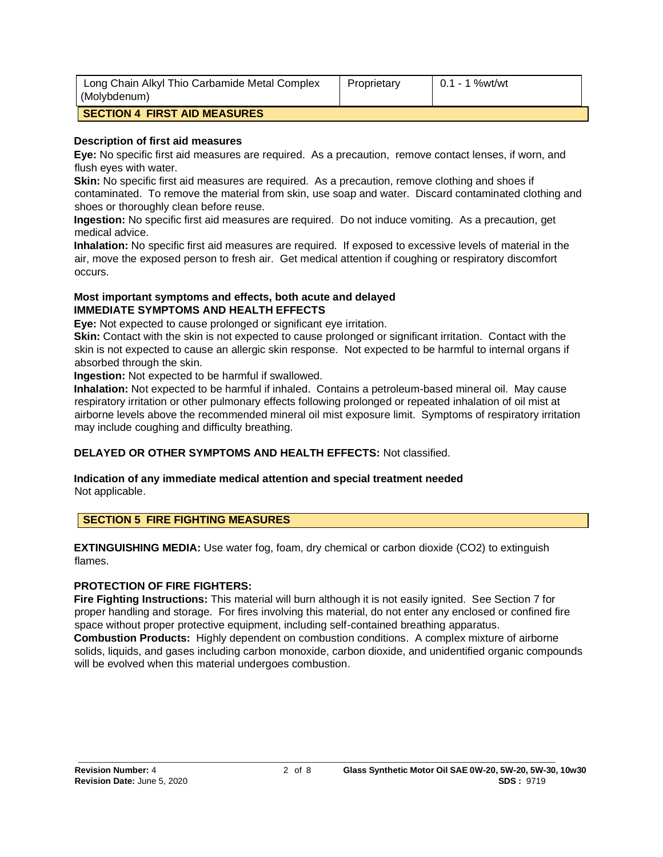| Long Chain Alkyl Thio Carbamide Metal Complex | Proprietary | 0.1 - 1 %wt/wt |
|-----------------------------------------------|-------------|----------------|
| (Molybdenum)                                  |             |                |
| SECTION 4 FIRST AID MEASURES                  |             |                |

#### **Description of first aid measures**

**Eye:** No specific first aid measures are required. As a precaution, remove contact lenses, if worn, and flush eyes with water.

**Skin:** No specific first aid measures are required. As a precaution, remove clothing and shoes if contaminated. To remove the material from skin, use soap and water. Discard contaminated clothing and shoes or thoroughly clean before reuse.

**Ingestion:** No specific first aid measures are required. Do not induce vomiting. As a precaution, get medical advice.

**Inhalation:** No specific first aid measures are required. If exposed to excessive levels of material in the air, move the exposed person to fresh air. Get medical attention if coughing or respiratory discomfort occurs.

## **Most important symptoms and effects, both acute and delayed IMMEDIATE SYMPTOMS AND HEALTH EFFECTS**

**Eye:** Not expected to cause prolonged or significant eye irritation.

**Skin:** Contact with the skin is not expected to cause prolonged or significant irritation. Contact with the skin is not expected to cause an allergic skin response. Not expected to be harmful to internal organs if absorbed through the skin.

**Ingestion:** Not expected to be harmful if swallowed.

**Inhalation:** Not expected to be harmful if inhaled. Contains a petroleum-based mineral oil. May cause respiratory irritation or other pulmonary effects following prolonged or repeated inhalation of oil mist at airborne levels above the recommended mineral oil mist exposure limit. Symptoms of respiratory irritation may include coughing and difficulty breathing.

# **DELAYED OR OTHER SYMPTOMS AND HEALTH EFFECTS:** Not classified.

#### **Indication of any immediate medical attention and special treatment needed**  Not applicable.

# **SECTION 5 FIRE FIGHTING MEASURES**

**EXTINGUISHING MEDIA:** Use water fog, foam, dry chemical or carbon dioxide (CO2) to extinguish flames.

# **PROTECTION OF FIRE FIGHTERS:**

**Fire Fighting Instructions:** This material will burn although it is not easily ignited. See Section 7 for proper handling and storage. For fires involving this material, do not enter any enclosed or confined fire space without proper protective equipment, including self-contained breathing apparatus.

**Combustion Products:** Highly dependent on combustion conditions. A complex mixture of airborne solids, liquids, and gases including carbon monoxide, carbon dioxide, and unidentified organic compounds will be evolved when this material undergoes combustion.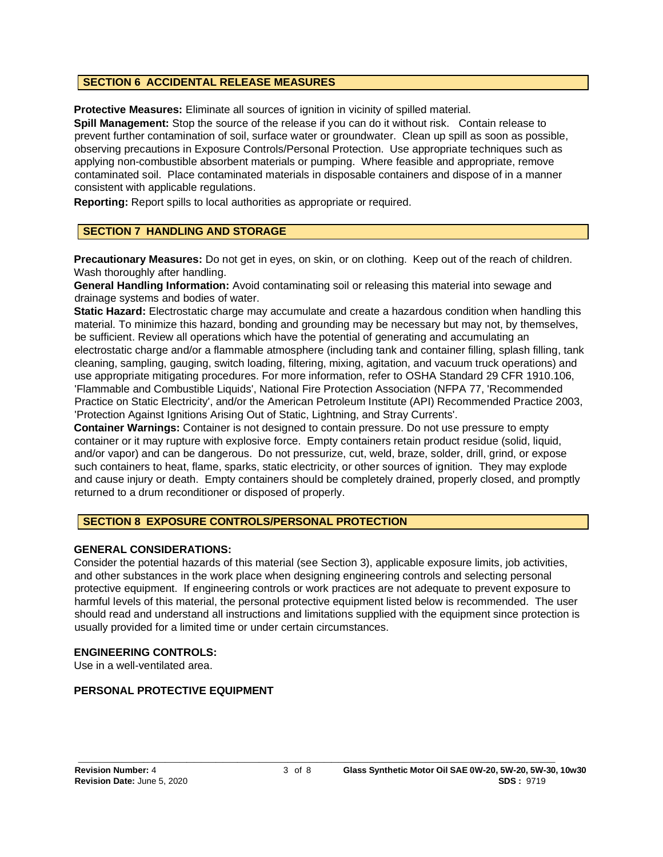#### **SECTION 6 ACCIDENTAL RELEASE MEASURES**

**Protective Measures:** Eliminate all sources of ignition in vicinity of spilled material.

**Spill Management:** Stop the source of the release if you can do it without risk. Contain release to prevent further contamination of soil, surface water or groundwater. Clean up spill as soon as possible, observing precautions in Exposure Controls/Personal Protection. Use appropriate techniques such as applying non-combustible absorbent materials or pumping. Where feasible and appropriate, remove contaminated soil. Place contaminated materials in disposable containers and dispose of in a manner consistent with applicable regulations.

**Reporting:** Report spills to local authorities as appropriate or required.

#### **SECTION 7 HANDLING AND STORAGE**

**Precautionary Measures:** Do not get in eyes, on skin, or on clothing. Keep out of the reach of children. Wash thoroughly after handling.

**General Handling Information:** Avoid contaminating soil or releasing this material into sewage and drainage systems and bodies of water.

**Static Hazard:** Electrostatic charge may accumulate and create a hazardous condition when handling this material. To minimize this hazard, bonding and grounding may be necessary but may not, by themselves, be sufficient. Review all operations which have the potential of generating and accumulating an electrostatic charge and/or a flammable atmosphere (including tank and container filling, splash filling, tank cleaning, sampling, gauging, switch loading, filtering, mixing, agitation, and vacuum truck operations) and use appropriate mitigating procedures. For more information, refer to OSHA Standard 29 CFR 1910.106, 'Flammable and Combustible Liquids', National Fire Protection Association (NFPA 77, 'Recommended Practice on Static Electricity', and/or the American Petroleum Institute (API) Recommended Practice 2003, 'Protection Against Ignitions Arising Out of Static, Lightning, and Stray Currents'.

**Container Warnings:** Container is not designed to contain pressure. Do not use pressure to empty container or it may rupture with explosive force. Empty containers retain product residue (solid, liquid, and/or vapor) and can be dangerous. Do not pressurize, cut, weld, braze, solder, drill, grind, or expose such containers to heat, flame, sparks, static electricity, or other sources of ignition. They may explode and cause injury or death. Empty containers should be completely drained, properly closed, and promptly returned to a drum reconditioner or disposed of properly.

# **SECTION 8 EXPOSURE CONTROLS/PERSONAL PROTECTION**

#### **GENERAL CONSIDERATIONS:**

Consider the potential hazards of this material (see Section 3), applicable exposure limits, job activities, and other substances in the work place when designing engineering controls and selecting personal protective equipment. If engineering controls or work practices are not adequate to prevent exposure to harmful levels of this material, the personal protective equipment listed below is recommended. The user should read and understand all instructions and limitations supplied with the equipment since protection is usually provided for a limited time or under certain circumstances.

# **ENGINEERING CONTROLS:**

Use in a well-ventilated area.

# **PERSONAL PROTECTIVE EQUIPMENT**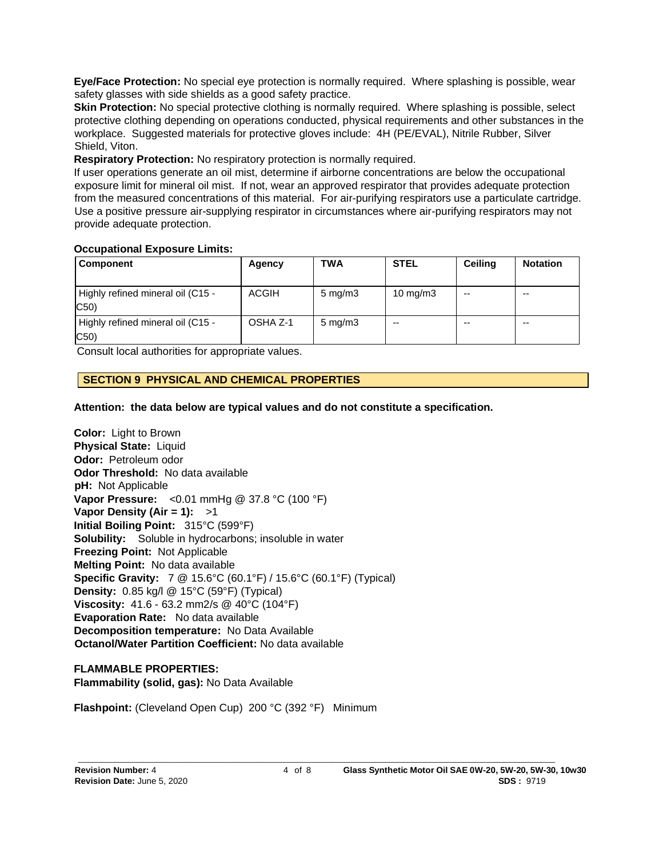**Eye/Face Protection:** No special eye protection is normally required. Where splashing is possible, wear safety glasses with side shields as a good safety practice.

**Skin Protection:** No special protective clothing is normally required. Where splashing is possible, select protective clothing depending on operations conducted, physical requirements and other substances in the workplace. Suggested materials for protective gloves include: 4H (PE/EVAL), Nitrile Rubber, Silver Shield, Viton.

**Respiratory Protection:** No respiratory protection is normally required.

If user operations generate an oil mist, determine if airborne concentrations are below the occupational exposure limit for mineral oil mist. If not, wear an approved respirator that provides adequate protection from the measured concentrations of this material. For air-purifying respirators use a particulate cartridge. Use a positive pressure air-supplying respirator in circumstances where air-purifying respirators may not provide adequate protection.

# **Occupational Exposure Limits:**

| <b>Component</b>                         | Agency       | TWA                | <b>STEL</b>       | <b>Ceiling</b> | <b>Notation</b> |
|------------------------------------------|--------------|--------------------|-------------------|----------------|-----------------|
| Highly refined mineral oil (C15 -<br>C50 | <b>ACGIH</b> | $5 \text{ mg/m}$ 3 | $10 \text{ mg/m}$ | $- -$          | $- -$           |
| Highly refined mineral oil (C15 -<br>C50 | OSHA Z-1     | $5 \text{ mg/m}$ 3 | $- -$             | $- -$          | --              |

Consult local authorities for appropriate values.

# **SECTION 9 PHYSICAL AND CHEMICAL PROPERTIES**

**Attention: the data below are typical values and do not constitute a specification.**

**Color:** Light to Brown **Physical State:** Liquid **Odor:** Petroleum odor **Odor Threshold:** No data available **pH:** Not Applicable **Vapor Pressure:** <0.01 mmHg @ 37.8 °C (100 °F) **Vapor Density (Air = 1):** >1 **Initial Boiling Point:** 315°C (599°F) **Solubility:** Soluble in hydrocarbons; insoluble in water **Freezing Point:** Not Applicable **Melting Point:** No data available **Specific Gravity:** 7 @ 15.6°C (60.1°F) / 15.6°C (60.1°F) (Typical) **Density:** 0.85 kg/l @ 15°C (59°F) (Typical) **Viscosity:** 41.6 - 63.2 mm2/s @ 40°C (104°F) **Evaporation Rate:** No data available **Decomposition temperature:** No Data Available **Octanol/Water Partition Coefficient:** No data available

# **FLAMMABLE PROPERTIES:**

**Flammability (solid, gas):** No Data Available

**Flashpoint:** (Cleveland Open Cup) 200 °C (392 °F) Minimum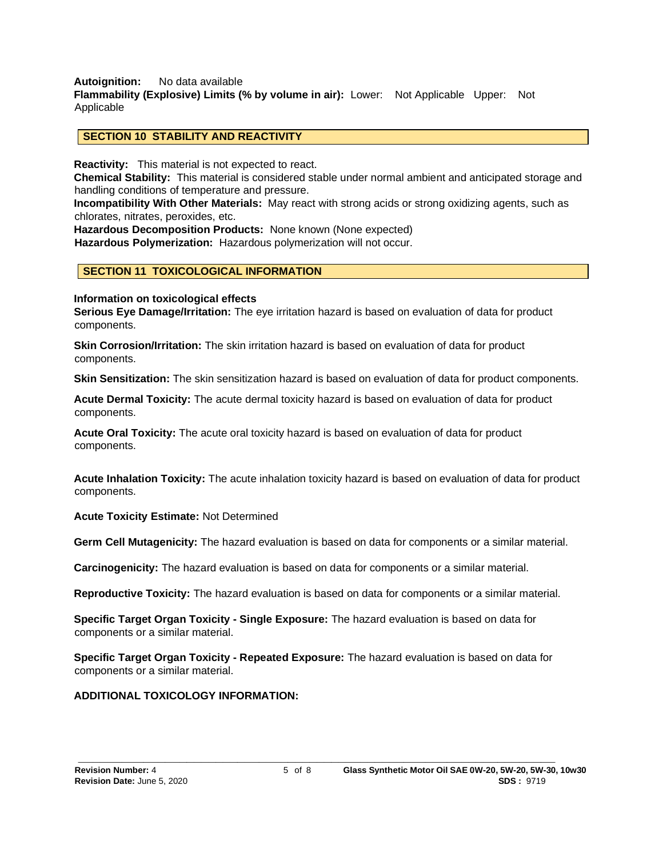**Autoignition:** No data available

**Flammability (Explosive) Limits (% by volume in air):** Lower: Not Applicable Upper: Not Applicable

## **SECTION 10 STABILITY AND REACTIVITY**

**Reactivity:** This material is not expected to react.

**Chemical Stability:** This material is considered stable under normal ambient and anticipated storage and handling conditions of temperature and pressure.

**Incompatibility With Other Materials:** May react with strong acids or strong oxidizing agents, such as chlorates, nitrates, peroxides, etc.

**Hazardous Decomposition Products:** None known (None expected)

**Hazardous Polymerization:** Hazardous polymerization will not occur.

#### **SECTION 11 TOXICOLOGICAL INFORMATION**

#### **Information on toxicological effects**

**Serious Eye Damage/Irritation:** The eye irritation hazard is based on evaluation of data for product components.

**Skin Corrosion/Irritation:** The skin irritation hazard is based on evaluation of data for product components.

**Skin Sensitization:** The skin sensitization hazard is based on evaluation of data for product components.

**Acute Dermal Toxicity:** The acute dermal toxicity hazard is based on evaluation of data for product components.

**Acute Oral Toxicity:** The acute oral toxicity hazard is based on evaluation of data for product components.

**Acute Inhalation Toxicity:** The acute inhalation toxicity hazard is based on evaluation of data for product components.

**Acute Toxicity Estimate:** Not Determined

**Germ Cell Mutagenicity:** The hazard evaluation is based on data for components or a similar material.

**Carcinogenicity:** The hazard evaluation is based on data for components or a similar material.

**Reproductive Toxicity:** The hazard evaluation is based on data for components or a similar material.

**Specific Target Organ Toxicity - Single Exposure:** The hazard evaluation is based on data for components or a similar material.

**Specific Target Organ Toxicity - Repeated Exposure:** The hazard evaluation is based on data for components or a similar material.

## **ADDITIONAL TOXICOLOGY INFORMATION:**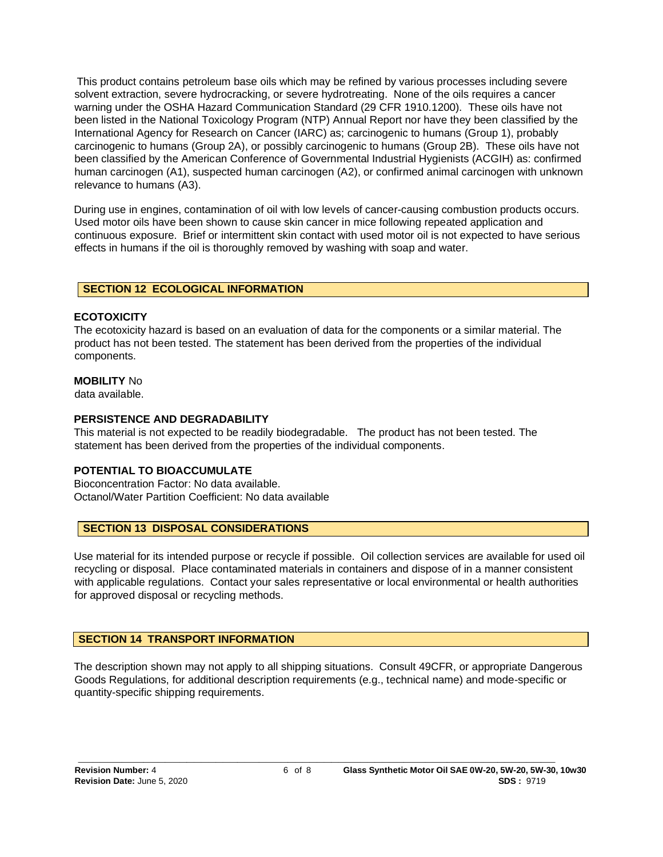This product contains petroleum base oils which may be refined by various processes including severe solvent extraction, severe hydrocracking, or severe hydrotreating. None of the oils requires a cancer warning under the OSHA Hazard Communication Standard (29 CFR 1910.1200). These oils have not been listed in the National Toxicology Program (NTP) Annual Report nor have they been classified by the International Agency for Research on Cancer (IARC) as; carcinogenic to humans (Group 1), probably carcinogenic to humans (Group 2A), or possibly carcinogenic to humans (Group 2B). These oils have not been classified by the American Conference of Governmental Industrial Hygienists (ACGIH) as: confirmed human carcinogen (A1), suspected human carcinogen (A2), or confirmed animal carcinogen with unknown relevance to humans (A3).

During use in engines, contamination of oil with low levels of cancer-causing combustion products occurs. Used motor oils have been shown to cause skin cancer in mice following repeated application and continuous exposure. Brief or intermittent skin contact with used motor oil is not expected to have serious effects in humans if the oil is thoroughly removed by washing with soap and water.

#### **SECTION 12 ECOLOGICAL INFORMATION**

#### **ECOTOXICITY**

The ecotoxicity hazard is based on an evaluation of data for the components or a similar material. The product has not been tested. The statement has been derived from the properties of the individual components.

# **MOBILITY** No

data available.

#### **PERSISTENCE AND DEGRADABILITY**

This material is not expected to be readily biodegradable. The product has not been tested. The statement has been derived from the properties of the individual components.

## **POTENTIAL TO BIOACCUMULATE**

Bioconcentration Factor: No data available. Octanol/Water Partition Coefficient: No data available

#### **SECTION 13 DISPOSAL CONSIDERATIONS**

Use material for its intended purpose or recycle if possible. Oil collection services are available for used oil recycling or disposal. Place contaminated materials in containers and dispose of in a manner consistent with applicable regulations. Contact your sales representative or local environmental or health authorities for approved disposal or recycling methods.

# **SECTION 14 TRANSPORT INFORMATION**

The description shown may not apply to all shipping situations. Consult 49CFR, or appropriate Dangerous Goods Regulations, for additional description requirements (e.g., technical name) and mode-specific or quantity-specific shipping requirements.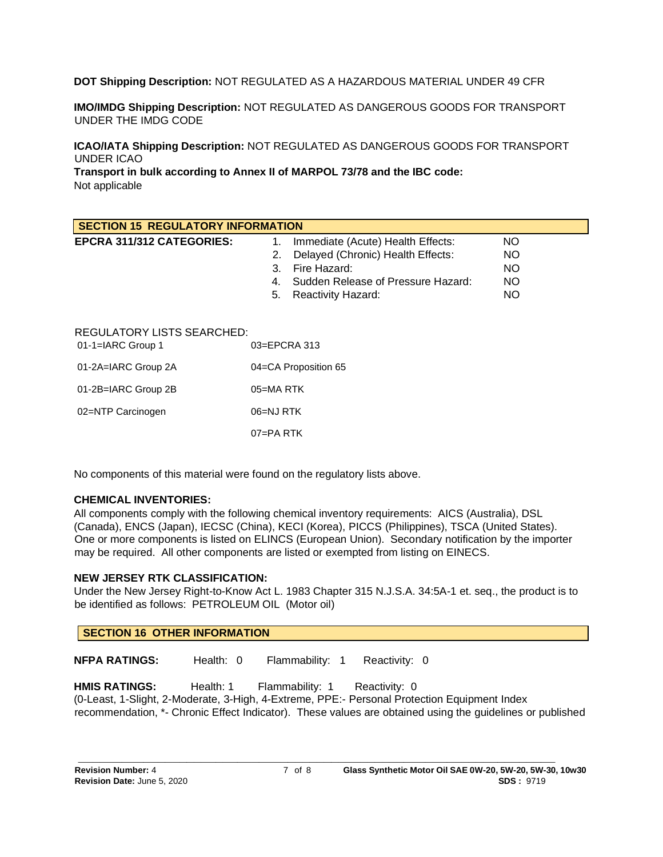# **DOT Shipping Description:** NOT REGULATED AS A HAZARDOUS MATERIAL UNDER 49 CFR

**IMO/IMDG Shipping Description:** NOT REGULATED AS DANGEROUS GOODS FOR TRANSPORT UNDER THE IMDG CODE

**ICAO/IATA Shipping Description:** NOT REGULATED AS DANGEROUS GOODS FOR TRANSPORT UNDER ICAO

**Transport in bulk according to Annex II of MARPOL 73/78 and the IBC code:** Not applicable

| <b>SECTION 15 REGULATORY INFORMATION</b>                                 |                                          |     |  |
|--------------------------------------------------------------------------|------------------------------------------|-----|--|
| <b>EPCRA 311/312 CATEGORIES:</b>                                         | Immediate (Acute) Health Effects:<br>1.  | NO. |  |
|                                                                          | Delayed (Chronic) Health Effects:<br>2.  | NO. |  |
|                                                                          | Fire Hazard:<br>3.                       | NO. |  |
|                                                                          | Sudden Release of Pressure Hazard:<br>4. | NO. |  |
|                                                                          | <b>Reactivity Hazard:</b><br>5.          | NO. |  |
| <b>REGULATORY LISTS SEARCHED:</b><br>03=EPCRA 313<br>$01-1=IARC$ Group 1 |                                          |     |  |
| 01-2A=IARC Group 2A                                                      | 04=CA Proposition 65                     |     |  |
| 01-2B=IARC Group 2B                                                      | 05=MA RTK                                |     |  |
| 02=NTP Carcinogen                                                        | 06=NJ RTK                                |     |  |

07=PA RTK

No components of this material were found on the regulatory lists above.

# **CHEMICAL INVENTORIES:**

All components comply with the following chemical inventory requirements: AICS (Australia), DSL (Canada), ENCS (Japan), IECSC (China), KECI (Korea), PICCS (Philippines), TSCA (United States). One or more components is listed on ELINCS (European Union). Secondary notification by the importer may be required. All other components are listed or exempted from listing on EINECS.

#### **NEW JERSEY RTK CLASSIFICATION:**

Under the New Jersey Right-to-Know Act L. 1983 Chapter 315 N.J.S.A. 34:5A-1 et. seq., the product is to be identified as follows: PETROLEUM OIL (Motor oil)

# **SECTION 16 OTHER INFORMATION**

**NFPA RATINGS:** Health: 0 Flammability: 1 Reactivity: 0

**HMIS RATINGS:** Health: 1 Flammability: 1 Reactivity: 0 (0-Least, 1-Slight, 2-Moderate, 3-High, 4-Extreme, PPE:- Personal Protection Equipment Index recommendation, \*- Chronic Effect Indicator). These values are obtained using the guidelines or published